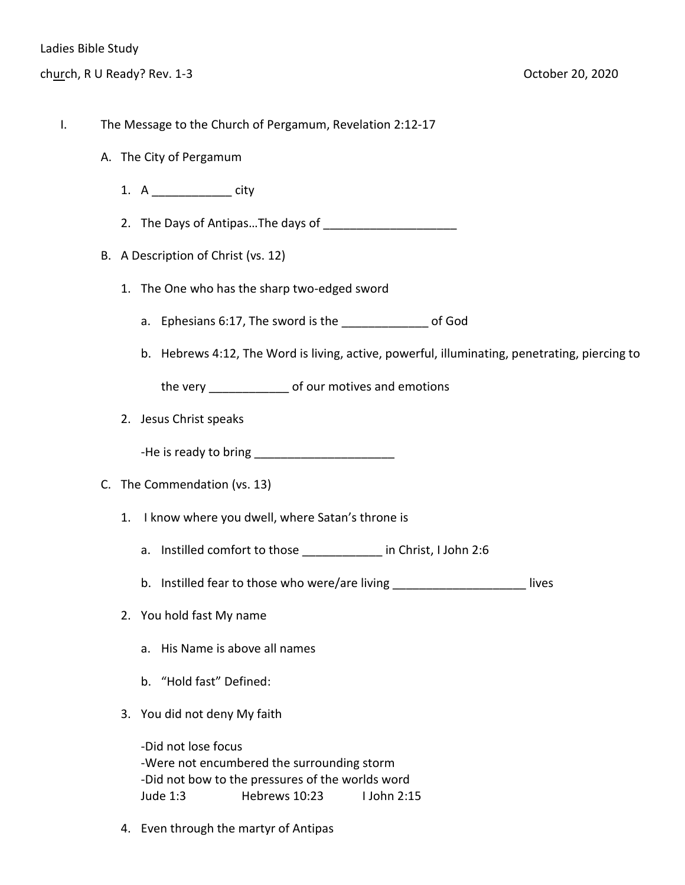- I. The Message to the Church of Pergamum, Revelation 2:12-17
	- A. The City of Pergamum
		- 1. A city
		- 2. The Days of Antipas...The days of
	- B. A Description of Christ (vs. 12)
		- 1. The One who has the sharp two-edged sword
			- a. Ephesians 6:17, The sword is the all the controller of God
			- b. Hebrews 4:12, The Word is living, active, powerful, illuminating, penetrating, piercing to

the very \_\_\_\_\_\_\_\_\_\_\_\_ of our motives and emotions

- 2. Jesus Christ speaks
	- -He is ready to bring \_\_\_\_\_\_\_\_\_\_\_\_\_\_\_\_\_\_\_\_\_
- C. The Commendation (vs. 13)
	- 1. I know where you dwell, where Satan's throne is
		- a. Instilled comfort to those \_\_\_\_\_\_\_\_\_\_\_\_ in Christ, I John 2:6
		- b. Instilled fear to those who were/are living \_\_\_\_\_\_\_\_\_\_\_\_\_\_\_\_\_\_\_\_\_\_\_\_\_lives
	- 2. You hold fast My name
		- a. His Name is above all names
		- b. "Hold fast" Defined:
	- 3. You did not deny My faith

-Did not lose focus -Were not encumbered the surrounding storm -Did not bow to the pressures of the worlds word Jude 1:3 Hebrews 10:23 I John 2:15

4. Even through the martyr of Antipas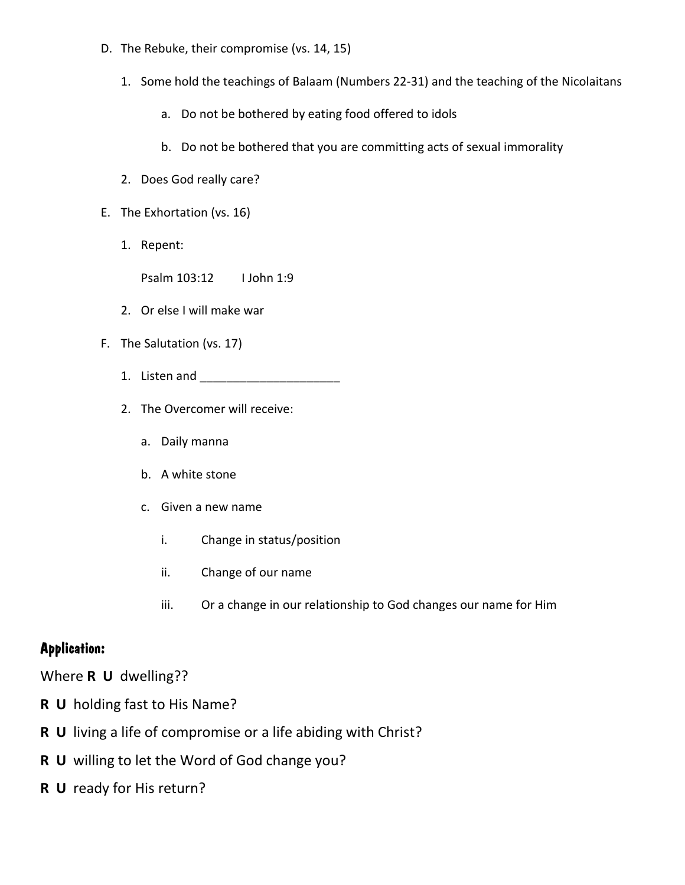- D. The Rebuke, their compromise (vs. 14, 15)
	- 1. Some hold the teachings of Balaam (Numbers 22-31) and the teaching of the Nicolaitans
		- a. Do not be bothered by eating food offered to idols
		- b. Do not be bothered that you are committing acts of sexual immorality
	- 2. Does God really care?
- E. The Exhortation (vs. 16)
	- 1. Repent:

Psalm 103:12 I John 1:9

- 2. Or else I will make war
- F. The Salutation (vs. 17)
	- 1. Listen and \_\_\_\_\_\_\_\_\_\_\_\_\_\_\_\_\_\_\_\_\_
	- 2. The Overcomer will receive:
		- a. Daily manna
		- b. A white stone
		- c. Given a new name
			- i. Change in status/position
			- ii. Change of our name
			- iii. Or a change in our relationship to God changes our name for Him

## **Application:**

Where **R U** dwelling??

- **R U** holding fast to His Name?
- **R U** living a life of compromise or a life abiding with Christ?
- **R U** willing to let the Word of God change you?
- **R U** ready for His return?